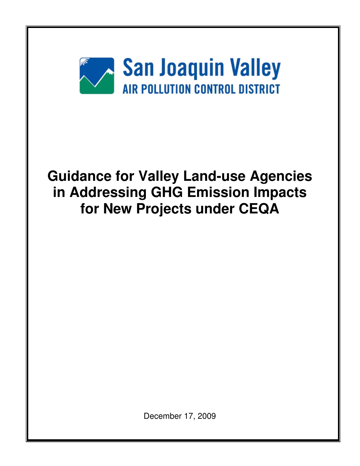

December 17, 2009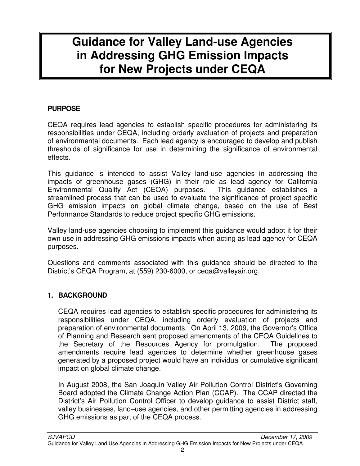#### **PURPOSE**

CEQA requires lead agencies to establish specific procedures for administering its responsibilities under CEQA, including orderly evaluation of projects and preparation of environmental documents. Each lead agency is encouraged to develop and publish thresholds of significance for use in determining the significance of environmental effects.

This guidance is intended to assist Valley land-use agencies in addressing the impacts of greenhouse gases (GHG) in their role as lead agency for California Environmental Quality Act (CEQA) purposes. This guidance establishes a streamlined process that can be used to evaluate the significance of project specific GHG emission impacts on global climate change, based on the use of Best Performance Standards to reduce project specific GHG emissions.

Valley land-use agencies choosing to implement this guidance would adopt it for their own use in addressing GHG emissions impacts when acting as lead agency for CEQA purposes.

Questions and comments associated with this guidance should be directed to the District's CEQA Program, at (559) 230-6000, or ceqa@valleyair.org.

#### **1. BACKGROUND**

CEQA requires lead agencies to establish specific procedures for administering its responsibilities under CEQA, including orderly evaluation of projects and preparation of environmental documents. On April 13, 2009, the Governor's Office of Planning and Research sent proposed amendments of the CEQA Guidelines to the Secretary of the Resources Agency for promulgation. The proposed amendments require lead agencies to determine whether greenhouse gases generated by a proposed project would have an individual or cumulative significant impact on global climate change.

In August 2008, the San Joaquin Valley Air Pollution Control District's Governing Board adopted the Climate Change Action Plan (CCAP). The CCAP directed the District's Air Pollution Control Officer to develop guidance to assist District staff, valley businesses, land–use agencies, and other permitting agencies in addressing GHG emissions as part of the CEQA process.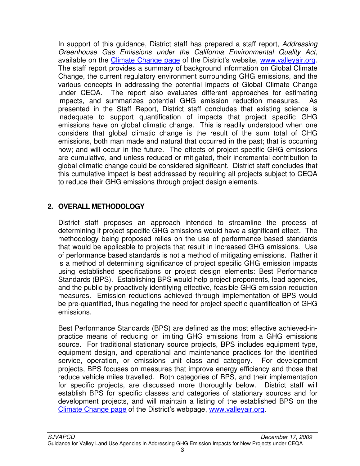In support of this guidance, District staff has prepared a staff report, Addressing Greenhouse Gas Emissions under the California Environmental Quality Act, available on the Climate Change page of the District's website, www.valleyair.org. The staff report provides a summary of background information on Global Climate Change, the current regulatory environment surrounding GHG emissions, and the various concepts in addressing the potential impacts of Global Climate Change under CEQA. The report also evaluates different approaches for estimating impacts, and summarizes potential GHG emission reduction measures. As presented in the Staff Report, District staff concludes that existing science is inadequate to support quantification of impacts that project specific GHG emissions have on global climatic change. This is readily understood when one considers that global climatic change is the result of the sum total of GHG emissions, both man made and natural that occurred in the past; that is occurring now; and will occur in the future. The effects of project specific GHG emissions are cumulative, and unless reduced or mitigated, their incremental contribution to global climatic change could be considered significant. District staff concludes that this cumulative impact is best addressed by requiring all projects subject to CEQA to reduce their GHG emissions through project design elements.

#### **2. OVERALL METHODOLOGY**

District staff proposes an approach intended to streamline the process of determining if project specific GHG emissions would have a significant effect. The methodology being proposed relies on the use of performance based standards that would be applicable to projects that result in increased GHG emissions. Use of performance based standards is not a method of mitigating emissions. Rather it is a method of determining significance of project specific GHG emission impacts using established specifications or project design elements: Best Performance Standards (BPS). Establishing BPS would help project proponents, lead agencies, and the public by proactively identifying effective, feasible GHG emission reduction measures. Emission reductions achieved through implementation of BPS would be pre-quantified, thus negating the need for project specific quantification of GHG emissions.

Best Performance Standards (BPS) are defined as the most effective achieved-inpractice means of reducing or limiting GHG emissions from a GHG emissions source. For traditional stationary source projects, BPS includes equipment type, equipment design, and operational and maintenance practices for the identified service, operation, or emissions unit class and category. For development projects, BPS focuses on measures that improve energy efficiency and those that reduce vehicle miles travelled. Both categories of BPS, and their implementation for specific projects, are discussed more thoroughly below. District staff will establish BPS for specific classes and categories of stationary sources and for development projects, and will maintain a listing of the established BPS on the Climate Change page of the District's webpage, www.valleyair.org.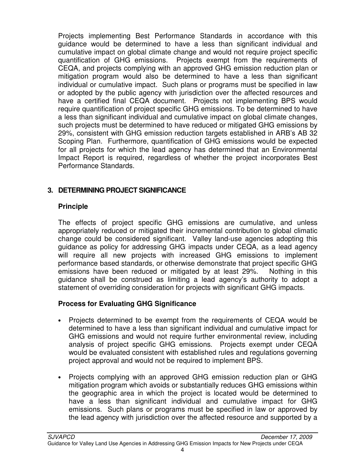Projects implementing Best Performance Standards in accordance with this guidance would be determined to have a less than significant individual and cumulative impact on global climate change and would not require project specific quantification of GHG emissions. Projects exempt from the requirements of CEQA, and projects complying with an approved GHG emission reduction plan or mitigation program would also be determined to have a less than significant individual or cumulative impact. Such plans or programs must be specified in law or adopted by the public agency with jurisdiction over the affected resources and have a certified final CEQA document. Projects not implementing BPS would require quantification of project specific GHG emissions. To be determined to have a less than significant individual and cumulative impact on global climate changes, such projects must be determined to have reduced or mitigated GHG emissions by 29%, consistent with GHG emission reduction targets established in ARB's AB 32 Scoping Plan. Furthermore, quantification of GHG emissions would be expected for all projects for which the lead agency has determined that an Environmental Impact Report is required, regardless of whether the project incorporates Best Performance Standards.

#### **3. DETERMINING PROJECT SIGNIFICANCE**

#### **Principle**

The effects of project specific GHG emissions are cumulative, and unless appropriately reduced or mitigated their incremental contribution to global climatic change could be considered significant. Valley land-use agencies adopting this guidance as policy for addressing GHG impacts under CEQA, as a lead agency will require all new projects with increased GHG emissions to implement performance based standards, or otherwise demonstrate that project specific GHG emissions have been reduced or mitigated by at least 29%. Nothing in this guidance shall be construed as limiting a lead agency's authority to adopt a statement of overriding consideration for projects with significant GHG impacts.

#### **Process for Evaluating GHG Significance**

- Projects determined to be exempt from the requirements of CEQA would be determined to have a less than significant individual and cumulative impact for GHG emissions and would not require further environmental review, including analysis of project specific GHG emissions. Projects exempt under CEQA would be evaluated consistent with established rules and regulations governing project approval and would not be required to implement BPS.
- Projects complying with an approved GHG emission reduction plan or GHG mitigation program which avoids or substantially reduces GHG emissions within the geographic area in which the project is located would be determined to have a less than significant individual and cumulative impact for GHG emissions. Such plans or programs must be specified in law or approved by the lead agency with jurisdiction over the affected resource and supported by a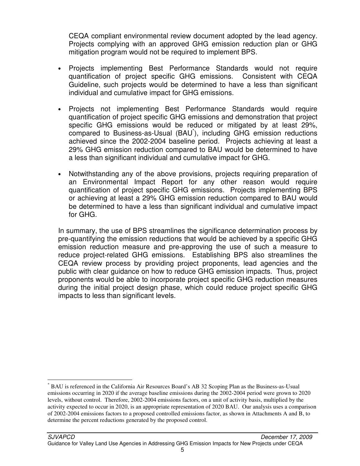CEQA compliant environmental review document adopted by the lead agency. Projects complying with an approved GHG emission reduction plan or GHG mitigation program would not be required to implement BPS.

- Projects implementing Best Performance Standards would not require quantification of project specific GHG emissions. Consistent with CEQA Guideline, such projects would be determined to have a less than significant individual and cumulative impact for GHG emissions.
- Projects not implementing Best Performance Standards would require quantification of project specific GHG emissions and demonstration that project specific GHG emissions would be reduced or mitigated by at least 29%, compared to Business-as-Usual (BAU<sup>\*</sup>), including GHG emission reductions achieved since the 2002-2004 baseline period. Projects achieving at least a 29% GHG emission reduction compared to BAU would be determined to have a less than significant individual and cumulative impact for GHG.
- Notwithstanding any of the above provisions, projects requiring preparation of an Environmental Impact Report for any other reason would require quantification of project specific GHG emissions. Projects implementing BPS or achieving at least a 29% GHG emission reduction compared to BAU would be determined to have a less than significant individual and cumulative impact for GHG.

In summary, the use of BPS streamlines the significance determination process by pre-quantifying the emission reductions that would be achieved by a specific GHG emission reduction measure and pre-approving the use of such a measure to reduce project-related GHG emissions. Establishing BPS also streamlines the CEQA review process by providing project proponents, lead agencies and the public with clear guidance on how to reduce GHG emission impacts. Thus, project proponents would be able to incorporate project specific GHG reduction measures during the initial project design phase, which could reduce project specific GHG impacts to less than significant levels.

 $\overline{a}$ 

<sup>\*</sup> BAU is referenced in the California Air Resources Board's AB 32 Scoping Plan as the Business-as-Usual emissions occurring in 2020 if the average baseline emissions during the 2002-2004 period were grown to 2020 levels, without control. Therefore, 2002-2004 emissions factors, on a unit of activity basis, multiplied by the activity expected to occur in 2020, is an appropriate representation of 2020 BAU. Our analysis uses a comparison of 2002-2004 emissions factors to a proposed controlled emissions factor, as shown in Attachments A and B, to determine the percent reductions generated by the proposed control.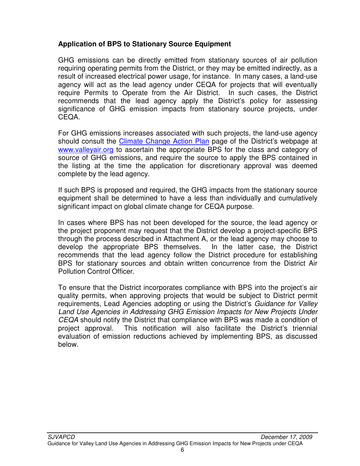#### **Application of BPS to Stationary Source Equipment**

GHG emissions can be directly emitted from stationary sources of air pollution requiring operating permits from the District, or they may be emitted indirectly, as a result of increased electrical power usage, for instance. In many cases, a land-use agency will act as the lead agency under CEQA for projects that will eventually require Permits to Operate from the Air District. In such cases, the District recommends that the lead agency apply the District's policy for assessing significance of GHG emission impacts from stationary source projects, under CEQA.

For GHG emissions increases associated with such projects, the land-use agency should consult the *Climate Change Action Plan* page of the District's webpage at www.valleyair.org to ascertain the appropriate BPS for the class and category of source of GHG emissions, and require the source to apply the BPS contained in the listing at the time the application for discretionary approval was deemed complete by the lead agency.

If such BPS is proposed and required, the GHG impacts from the stationary source equipment shall be determined to have a less than individually and cumulatively significant impact on global climate change for CEQA purpose.

In cases where BPS has not been developed for the source, the lead agency or the project proponent may request that the District develop a project-specific BPS through the process described in Attachment A, or the lead agency may choose to develop the appropriate BPS themselves. In the latter case, the District recommends that the lead agency follow the District procedure for establishing BPS for stationary sources and obtain written concurrence from the District Air Pollution Control Officer.

To ensure that the District incorporates compliance with BPS into the project's air quality permits, when approving projects that would be subject to District permit requirements, Lead Agencies adopting or using the District's Guidance for Valley Land Use Agencies in Addressing GHG Emission Impacts for New Projects Under CEQA should notify the District that compliance with BPS was made a condition of project approval. This notification will also facilitate the District's triennial evaluation of emission reductions achieved by implementing BPS, as discussed below.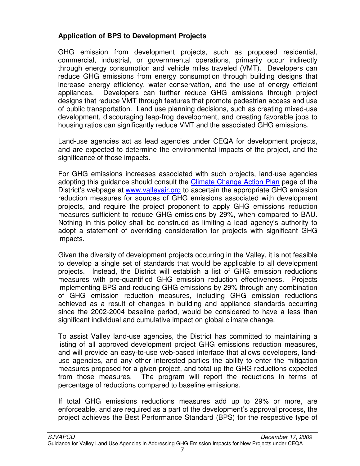#### **Application of BPS to Development Projects**

GHG emission from development projects, such as proposed residential, commercial, industrial, or governmental operations, primarily occur indirectly through energy consumption and vehicle miles traveled (VMT). Developers can reduce GHG emissions from energy consumption through building designs that increase energy efficiency, water conservation, and the use of energy efficient appliances. Developers can further reduce GHG emissions through project designs that reduce VMT through features that promote pedestrian access and use of public transportation. Land use planning decisions, such as creating mixed-use development, discouraging leap-frog development, and creating favorable jobs to housing ratios can significantly reduce VMT and the associated GHG emissions.

Land-use agencies act as lead agencies under CEQA for development projects, and are expected to determine the environmental impacts of the project, and the significance of those impacts.

For GHG emissions increases associated with such projects, land-use agencies adopting this guidance should consult the Climate Change Action Plan page of the District's webpage at www.valleyair.org to ascertain the appropriate GHG emission reduction measures for sources of GHG emissions associated with development projects, and require the project proponent to apply GHG emissions reduction measures sufficient to reduce GHG emissions by 29%, when compared to BAU. Nothing in this policy shall be construed as limiting a lead agency's authority to adopt a statement of overriding consideration for projects with significant GHG impacts.

Given the diversity of development projects occurring in the Valley, it is not feasible to develop a single set of standards that would be applicable to all development projects. Instead, the District will establish a list of GHG emission reductions measures with pre-quantified GHG emission reduction effectiveness. Projects implementing BPS and reducing GHG emissions by 29% through any combination of GHG emission reduction measures, including GHG emission reductions achieved as a result of changes in building and appliance standards occurring since the 2002-2004 baseline period, would be considered to have a less than significant individual and cumulative impact on global climate change.

To assist Valley land-use agencies, the District has committed to maintaining a listing of all approved development project GHG emissions reduction measures, and will provide an easy-to-use web-based interface that allows developers, landuse agencies, and any other interested parties the ability to enter the mitigation measures proposed for a given project, and total up the GHG reductions expected from those measures. The program will report the reductions in terms of percentage of reductions compared to baseline emissions.

If total GHG emissions reductions measures add up to 29% or more, are enforceable, and are required as a part of the development's approval process, the project achieves the Best Performance Standard (BPS) for the respective type of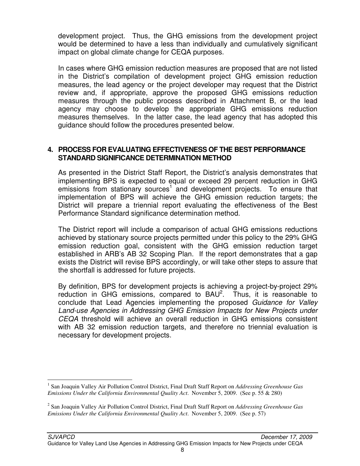development project. Thus, the GHG emissions from the development project would be determined to have a less than individually and cumulatively significant impact on global climate change for CEQA purposes.

In cases where GHG emission reduction measures are proposed that are not listed in the District's compilation of development project GHG emission reduction measures, the lead agency or the project developer may request that the District review and, if appropriate, approve the proposed GHG emissions reduction measures through the public process described in Attachment B, or the lead agency may choose to develop the appropriate GHG emissions reduction measures themselves. In the latter case, the lead agency that has adopted this guidance should follow the procedures presented below.

#### **4. PROCESS FOR EVALUATING EFFECTIVENESS OF THE BEST PERFORMANCE STANDARD SIGNIFICANCE DETERMINATION METHOD**

As presented in the District Staff Report, the District's analysis demonstrates that implementing BPS is expected to equal or exceed 29 percent reduction in GHG emissions from stationary sources<sup>1</sup> and development projects. To ensure that implementation of BPS will achieve the GHG emission reduction targets; the District will prepare a triennial report evaluating the effectiveness of the Best Performance Standard significance determination method.

The District report will include a comparison of actual GHG emissions reductions achieved by stationary source projects permitted under this policy to the 29% GHG emission reduction goal, consistent with the GHG emission reduction target established in ARB's AB 32 Scoping Plan. If the report demonstrates that a gap exists the District will revise BPS accordingly, or will take other steps to assure that the shortfall is addressed for future projects.

By definition, BPS for development projects is achieving a project-by-project 29% reduction in GHG emissions, compared to  $BAU<sup>2</sup>$ . Thus, it is reasonable to conclude that Lead Agencies implementing the proposed Guidance for Valley Land-use Agencies in Addressing GHG Emission Impacts for New Projects under CEQA threshold will achieve an overall reduction in GHG emissions consistent with AB 32 emission reduction targets, and therefore no triennial evaluation is necessary for development projects.

<u>.</u>

<sup>&</sup>lt;sup>1</sup> San Joaquin Valley Air Pollution Control District, Final Draft Staff Report on *Addressing Greenhouse Gas Emissions Under the California Environmental Quality Act*. November 5, 2009. (See p. 55 & 280)

<sup>2</sup> San Joaquin Valley Air Pollution Control District, Final Draft Staff Report on *Addressing Greenhouse Gas Emissions Under the California Environmental Quality Act*. November 5, 2009. (See p. 57)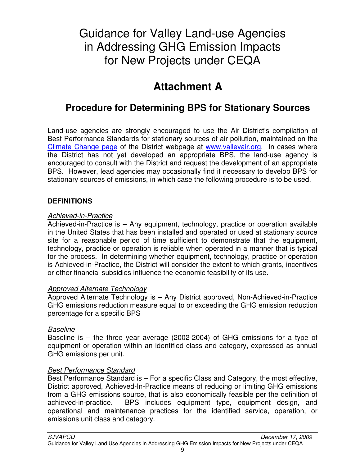## **Attachment A**

### **Procedure for Determining BPS for Stationary Sources**

Land-use agencies are strongly encouraged to use the Air District's compilation of Best Performance Standards for stationary sources of air pollution, maintained on the Climate Change page of the District webpage at www.valleyair.org. In cases where the District has not yet developed an appropriate BPS, the land-use agency is encouraged to consult with the District and request the development of an appropriate BPS. However, lead agencies may occasionally find it necessary to develop BPS for stationary sources of emissions, in which case the following procedure is to be used.

#### **DEFINITIONS**

#### Achieved-in-Practice

Achieved-in-Practice is – Any equipment, technology, practice or operation available in the United States that has been installed and operated or used at stationary source site for a reasonable period of time sufficient to demonstrate that the equipment, technology, practice or operation is reliable when operated in a manner that is typical for the process. In determining whether equipment, technology, practice or operation is Achieved-in-Practice, the District will consider the extent to which grants, incentives or other financial subsidies influence the economic feasibility of its use.

#### Approved Alternate Technology

Approved Alternate Technology is – Any District approved, Non-Achieved-in-Practice GHG emissions reduction measure equal to or exceeding the GHG emission reduction percentage for a specific BPS

#### **Baseline**

Baseline is – the three year average (2002-2004) of GHG emissions for a type of equipment or operation within an identified class and category, expressed as annual GHG emissions per unit.

#### Best Performance Standard

Best Performance Standard is – For a specific Class and Category, the most effective, District approved, Achieved-In-Practice means of reducing or limiting GHG emissions from a GHG emissions source, that is also economically feasible per the definition of achieved-in-practice. BPS includes equipment type, equipment design, and operational and maintenance practices for the identified service, operation, or emissions unit class and category.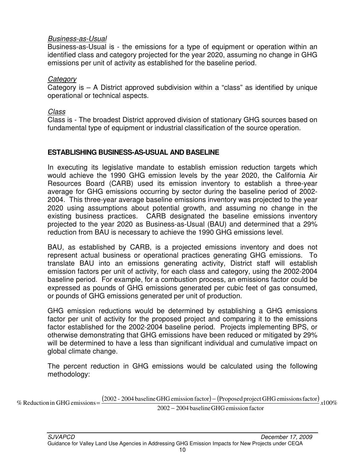#### Business-as-Usual

Business-as-Usual is - the emissions for a type of equipment or operation within an identified class and category projected for the year 2020, assuming no change in GHG emissions per unit of activity as established for the baseline period.

#### **Category**

Category is – A District approved subdivision within a "class" as identified by unique operational or technical aspects.

#### Class

Class is - The broadest District approved division of stationary GHG sources based on fundamental type of equipment or industrial classification of the source operation.

#### **ESTABLISHING BUSINESS-AS-USUAL AND BASELINE**

In executing its legislative mandate to establish emission reduction targets which would achieve the 1990 GHG emission levels by the year 2020, the California Air Resources Board (CARB) used its emission inventory to establish a three-year average for GHG emissions occurring by sector during the baseline period of 2002- 2004. This three-year average baseline emissions inventory was projected to the year 2020 using assumptions about potential growth, and assuming no change in the existing business practices. CARB designated the baseline emissions inventory projected to the year 2020 as Business-as-Usual (BAU) and determined that a 29% reduction from BAU is necessary to achieve the 1990 GHG emissions level.

BAU, as established by CARB, is a projected emissions inventory and does not represent actual business or operational practices generating GHG emissions. To translate BAU into an emissions generating activity, District staff will establish emission factors per unit of activity, for each class and category, using the 2002-2004 baseline period. For example, for a combustion process, an emissions factor could be expressed as pounds of GHG emissions generated per cubic feet of gas consumed, or pounds of GHG emissions generated per unit of production.

GHG emission reductions would be determined by establishing a GHG emissions factor per unit of activity for the proposed project and comparing it to the emissions factor established for the 2002-2004 baseline period. Projects implementing BPS, or otherwise demonstrating that GHG emissions have been reduced or mitigated by 29% will be determined to have a less than significant individual and cumulative impact on global climate change.

The percent reduction in GHG emissions would be calculated using the following methodology:

% Reduction in GHG emissions =  $\frac{(2002 - 2004 \text{ baseline GHG emission factor}) - (Proposed project GHG emissions factor)}{2002 - 2004 \text{ baseline GHG emission factor}}$  x100% 2002 - 2004 baseline GHG emission factor  $%$  Reduction in GHG emissions =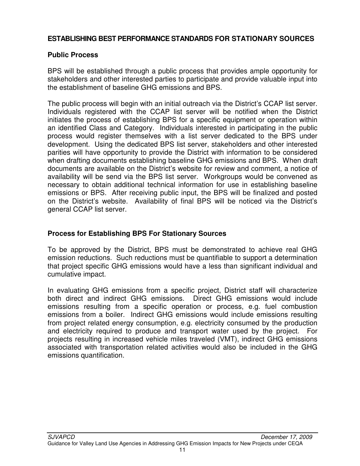#### **ESTABLISHING BEST PERFORMANCE STANDARDS FOR STATIONARY SOURCES**

#### **Public Process**

BPS will be established through a public process that provides ample opportunity for stakeholders and other interested parties to participate and provide valuable input into the establishment of baseline GHG emissions and BPS.

The public process will begin with an initial outreach via the District's CCAP list server. Individuals registered with the CCAP list server will be notified when the District initiates the process of establishing BPS for a specific equipment or operation within an identified Class and Category. Individuals interested in participating in the public process would register themselves with a list server dedicated to the BPS under development. Using the dedicated BPS list server, stakeholders and other interested parities will have opportunity to provide the District with information to be considered when drafting documents establishing baseline GHG emissions and BPS. When draft documents are available on the District's website for review and comment, a notice of availability will be send via the BPS list server. Workgroups would be convened as necessary to obtain additional technical information for use in establishing baseline emissions or BPS. After receiving public input, the BPS will be finalized and posted on the District's website. Availability of final BPS will be noticed via the District's general CCAP list server.

#### **Process for Establishing BPS For Stationary Sources**

To be approved by the District, BPS must be demonstrated to achieve real GHG emission reductions. Such reductions must be quantifiable to support a determination that project specific GHG emissions would have a less than significant individual and cumulative impact.

In evaluating GHG emissions from a specific project, District staff will characterize both direct and indirect GHG emissions. Direct GHG emissions would include emissions resulting from a specific operation or process, e.g. fuel combustion emissions from a boiler. Indirect GHG emissions would include emissions resulting from project related energy consumption, e.g. electricity consumed by the production and electricity required to produce and transport water used by the project. For projects resulting in increased vehicle miles traveled (VMT), indirect GHG emissions associated with transportation related activities would also be included in the GHG emissions quantification.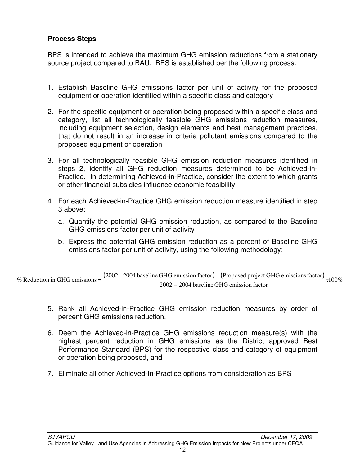#### **Process Steps**

BPS is intended to achieve the maximum GHG emission reductions from a stationary source project compared to BAU. BPS is established per the following process:

- 1. Establish Baseline GHG emissions factor per unit of activity for the proposed equipment or operation identified within a specific class and category
- 2. For the specific equipment or operation being proposed within a specific class and category, list all technologically feasible GHG emissions reduction measures, including equipment selection, design elements and best management practices, that do not result in an increase in criteria pollutant emissions compared to the proposed equipment or operation
- 3. For all technologically feasible GHG emission reduction measures identified in steps 2, identify all GHG reduction measures determined to be Achieved-in-Practice. In determining Achieved-in-Practice, consider the extent to which grants or other financial subsidies influence economic feasibility.
- 4. For each Achieved-in-Practice GHG emission reduction measure identified in step 3 above:
	- a. Quantify the potential GHG emission reduction, as compared to the Baseline GHG emissions factor per unit of activity
	- b. Express the potential GHG emission reduction as a percent of Baseline GHG emissions factor per unit of activity, using the following methodology:

% Reduction in GHG emissions =  $\frac{(2002 - 2004 \text{ baseline GHG emission factor}) - (\text{Proposed project GHG emissions factor})}{0.002 - 2004 \text{ baseline GHG emission factor}}$ 2002 2004 baseline GHG emission factor −  $%$  Reduction in GHG emissions =

- 5. Rank all Achieved-in-Practice GHG emission reduction measures by order of percent GHG emissions reduction,
- 6. Deem the Achieved-in-Practice GHG emissions reduction measure(s) with the highest percent reduction in GHG emissions as the District approved Best Performance Standard (BPS) for the respective class and category of equipment or operation being proposed, and
- 7. Eliminate all other Achieved-In-Practice options from consideration as BPS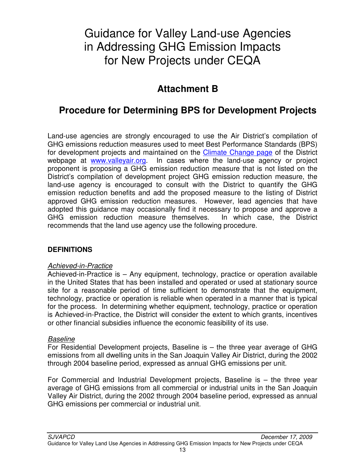### **Attachment B**

### **Procedure for Determining BPS for Development Projects**

Land-use agencies are strongly encouraged to use the Air District's compilation of GHG emissions reduction measures used to meet Best Performance Standards (BPS) for development projects and maintained on the **Climate Change page** of the District webpage at www.valleyair.org. In cases where the land-use agency or project proponent is proposing a GHG emission reduction measure that is not listed on the District's compilation of development project GHG emission reduction measure, the land-use agency is encouraged to consult with the District to quantify the GHG emission reduction benefits and add the proposed measure to the listing of District approved GHG emission reduction measures. However, lead agencies that have adopted this guidance may occasionally find it necessary to propose and approve a GHG emission reduction measure themselves. In which case, the District recommends that the land use agency use the following procedure.

#### **DEFINITIONS**

#### Achieved-in-Practice

Achieved-in-Practice is – Any equipment, technology, practice or operation available in the United States that has been installed and operated or used at stationary source site for a reasonable period of time sufficient to demonstrate that the equipment, technology, practice or operation is reliable when operated in a manner that is typical for the process. In determining whether equipment, technology, practice or operation is Achieved-in-Practice, the District will consider the extent to which grants, incentives or other financial subsidies influence the economic feasibility of its use.

#### **Baseline**

For Residential Development projects, Baseline is – the three year average of GHG emissions from all dwelling units in the San Joaquin Valley Air District, during the 2002 through 2004 baseline period, expressed as annual GHG emissions per unit.

For Commercial and Industrial Development projects, Baseline is – the three year average of GHG emissions from all commercial or industrial units in the San Joaquin Valley Air District, during the 2002 through 2004 baseline period, expressed as annual GHG emissions per commercial or industrial unit.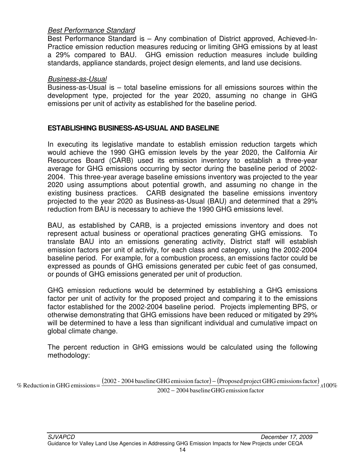#### Best Performance Standard

Best Performance Standard is – Any combination of District approved, Achieved-In-Practice emission reduction measures reducing or limiting GHG emissions by at least a 29% compared to BAU. GHG emission reduction measures include building standards, appliance standards, project design elements, and land use decisions.

#### Business-as-Usual

Business-as-Usual is – total baseline emissions for all emissions sources within the development type, projected for the year 2020, assuming no change in GHG emissions per unit of activity as established for the baseline period.

#### **ESTABLISHING BUSINESS-AS-USUAL AND BASELINE**

In executing its legislative mandate to establish emission reduction targets which would achieve the 1990 GHG emission levels by the year 2020, the California Air Resources Board (CARB) used its emission inventory to establish a three-year average for GHG emissions occurring by sector during the baseline period of 2002- 2004. This three-year average baseline emissions inventory was projected to the year 2020 using assumptions about potential growth, and assuming no change in the existing business practices. CARB designated the baseline emissions inventory projected to the year 2020 as Business-as-Usual (BAU) and determined that a 29% reduction from BAU is necessary to achieve the 1990 GHG emissions level.

BAU, as established by CARB, is a projected emissions inventory and does not represent actual business or operational practices generating GHG emissions. To translate BAU into an emissions generating activity, District staff will establish emission factors per unit of activity, for each class and category, using the 2002-2004 baseline period. For example, for a combustion process, an emissions factor could be expressed as pounds of GHG emissions generated per cubic feet of gas consumed, or pounds of GHG emissions generated per unit of production.

GHG emission reductions would be determined by establishing a GHG emissions factor per unit of activity for the proposed project and comparing it to the emissions factor established for the 2002-2004 baseline period. Projects implementing BPS, or otherwise demonstrating that GHG emissions have been reduced or mitigated by 29% will be determined to have a less than significant individual and cumulative impact on global climate change.

The percent reduction in GHG emissions would be calculated using the following methodology:

% Reduction in GHG emissions =  $\frac{(2002 - 2004 \text{ baseline GHG emission factor}) - (Proposed project GHG emissions factor)}{2002 - 2004 \text{ baseline GHG emission factor}}$  x100% 2002 - 2004 baseline GHG emission factor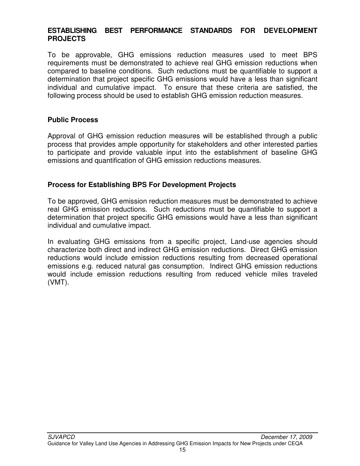#### **ESTABLISHING BEST PERFORMANCE STANDARDS FOR DEVELOPMENT PROJECTS**

To be approvable, GHG emissions reduction measures used to meet BPS requirements must be demonstrated to achieve real GHG emission reductions when compared to baseline conditions. Such reductions must be quantifiable to support a determination that project specific GHG emissions would have a less than significant individual and cumulative impact. To ensure that these criteria are satisfied, the following process should be used to establish GHG emission reduction measures.

#### **Public Process**

Approval of GHG emission reduction measures will be established through a public process that provides ample opportunity for stakeholders and other interested parties to participate and provide valuable input into the establishment of baseline GHG emissions and quantification of GHG emission reductions measures.

#### **Process for Establishing BPS For Development Projects**

To be approved, GHG emission reduction measures must be demonstrated to achieve real GHG emission reductions. Such reductions must be quantifiable to support a determination that project specific GHG emissions would have a less than significant individual and cumulative impact.

In evaluating GHG emissions from a specific project, Land-use agencies should characterize both direct and indirect GHG emission reductions. Direct GHG emission reductions would include emission reductions resulting from decreased operational emissions e.g. reduced natural gas consumption. Indirect GHG emission reductions would include emission reductions resulting from reduced vehicle miles traveled (VMT).